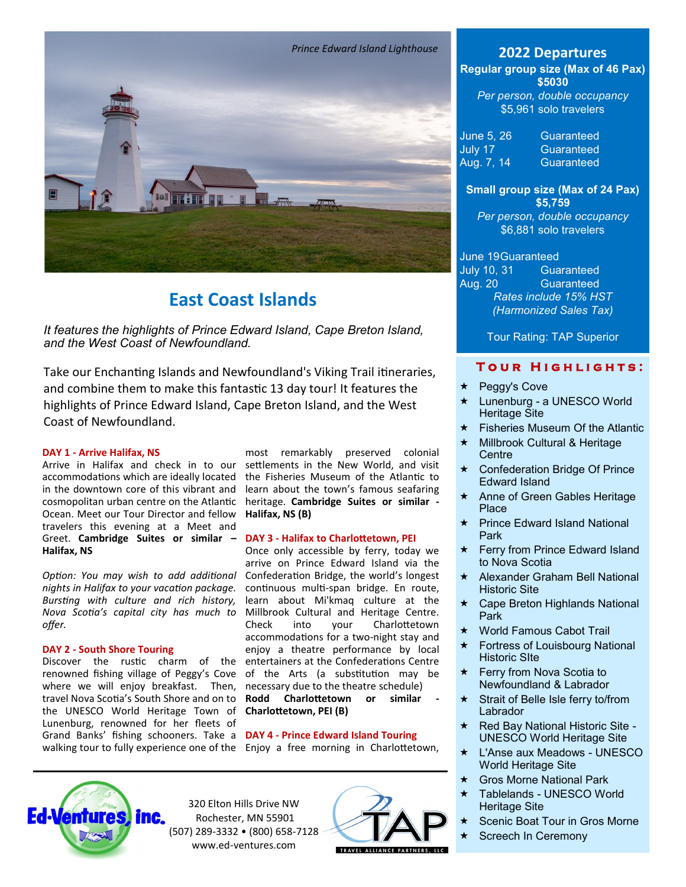

# **East Coast Islands**

*It features the highlights of Prince Edward Island, Cape Breton Island, and the West Coast of Newfoundland.*

Take our Enchanting Islands and Newfoundland's Viking Trail itineraries, and combine them to make this fantastic 13 day tour! It features the highlights of Prince Edward Island, Cape Breton Island, and the West Coast of Newfoundland.

#### **DAY 1 - Arrive Halifax, NS**

Arrive in Halifax and check in to our accommodations which are ideally located in the downtown core of this vibrant and cosmopolitan urban centre on the Atlantic Ocean. Meet our Tour Director and fellow travelers this evening at a Meet and Greet. **Cambridge Suites or similar – Halifax, NS**

*Option: You may wish to add additional nights in Halifax to your vacation package. Bursting with culture and rich history, Nova Scotia's capital city has much to offer.*

### **DAY 2 - South Shore Touring**

Discover the rustic charm of the renowned fishing village of Peggy's Cove where we will enjoy breakfast. Then, travel Nova Scotia's South Shore and on to the UNESCO World Heritage Town of Lunenburg, renowned for her fleets of Grand Banks' fishing schooners. Take a **DAY 4 - Prince Edward Island Touring** walking tour to fully experience one of the Enjoy a free morning in Charlottetown,

most remarkably preserved colonial settlements in the New World, and visit the Fisheries Museum of the Atlantic to learn about the town's famous seafaring heritage. **Cambridge Suites or similar - Halifax, NS (B)**

# **DAY 3 - Halifax to Charlottetown, PEI**

Once only accessible by ferry, today we arrive on Prince Edward Island via the Confederation Bridge, the world's longest continuous multi-span bridge. En route, learn about Mi'kmaq culture at the Millbrook Cultural and Heritage Centre.<br>Check into your Charlottetown Check into your Charlottetown accommodations for a two-night stay and enjoy a theatre performance by local entertainers at the Confederations Centre of the Arts (a substitution may be necessary due to the theatre schedule)

**Rodd Charlottetown or similar - Charlottetown, PEI (B)**



320 Elton Hills Drive NW Rochester, MN 55901 (507) 289-3332 • (800) 658-7128 www.ed-ventures.com



**Regular group size (Max of 46 Pax)**

**\$5030** *Per person, double occupancy* \$5,961 solo travelers

| June 5, 26 | Guaranteed |
|------------|------------|
| July 17    | Guaranteed |
| Aug. 7, 14 | Guaranteed |

# **Small group size (Max of 24 Pax) \$5,759**

*Per person, double occupancy* \$6,881 solo travelers

# June 19Guaranteed

July 10, 31 Guaranteed Aug. 20 Guaranteed *Rates include 15% HST (Harmonized Sales Tax)*

Tour Rating: TAP Superior

# **TOUR HIGHLIGHTS:**

- Peggy's Cove
- ★ Lunenburg a UNESCO World Heritage Site
- $\star$  Fisheries Museum Of the Atlantic
- ★ Millbrook Cultural & Heritage **Centre**
- Confederation Bridge Of Prince Edward Island
- ★ Anne of Green Gables Heritage Place
- ★ Prince Edward Island National Park
- **★ Ferry from Prince Edward Island** to Nova Scotia
- $\star$  Alexander Graham Bell National Historic Site
- Cape Breton Highlands National Park
- World Famous Cabot Trail
- ★ Fortress of Louisbourg National Historic SIte
- $\star$  Ferry from Nova Scotia to Newfoundland & Labrador
- $\star$  Strait of Belle Isle ferry to/from **Labrador**
- $\star$  Red Bay National Historic Site -UNESCO World Heritage Site
- L'Anse aux Meadows UNESCO World Heritage Site
- **★ Gros Morne National Park**
- Tablelands UNESCO World Heritage Site
- Scenic Boat Tour in Gros Morne
- Screech In Ceremony